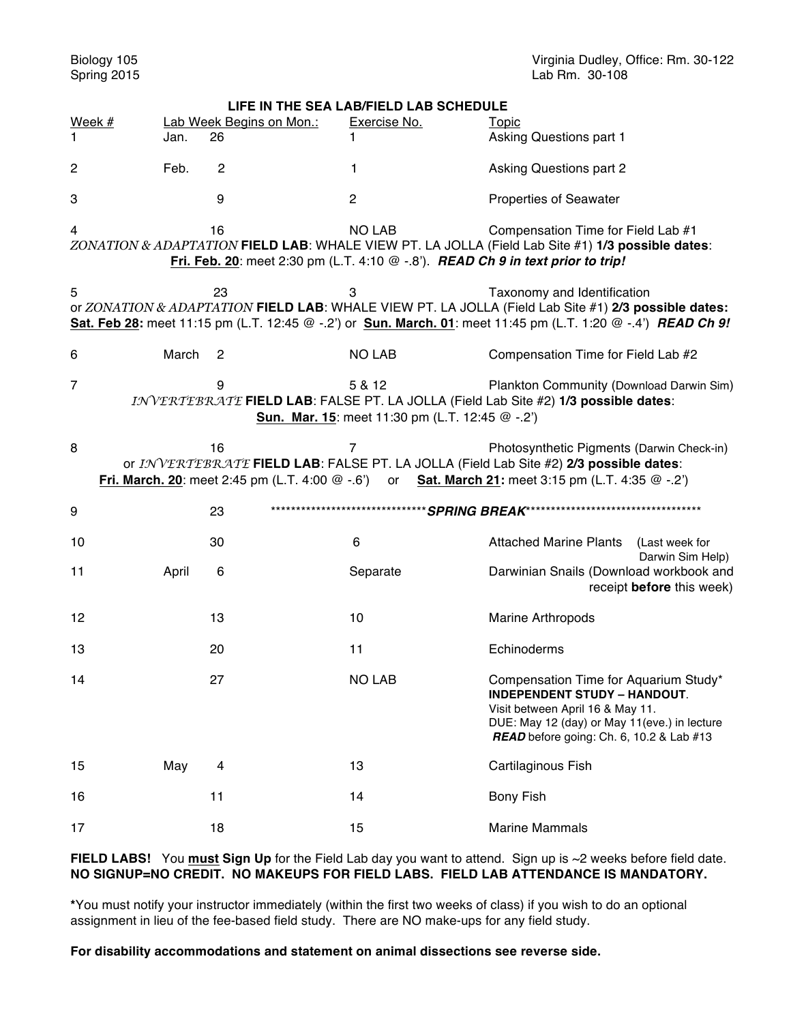Biology 105 **Biology 105** Virginia Dudley, Office: Rm. 30-122 **Spring 2015** Virginia Dudley, Office: Rm. 30-122  $Lab Rm.$  30-108

| LIFE IN THE SEA LAB/FIELD LAB SCHEDULE                                                                                                                                                                                                                              |                                                                                        |                          |                |                                                                                                                                                                                                             |                                    |  |
|---------------------------------------------------------------------------------------------------------------------------------------------------------------------------------------------------------------------------------------------------------------------|----------------------------------------------------------------------------------------|--------------------------|----------------|-------------------------------------------------------------------------------------------------------------------------------------------------------------------------------------------------------------|------------------------------------|--|
| Week #                                                                                                                                                                                                                                                              |                                                                                        | Lab Week Begins on Mon.: | Exercise No.   | <b>Topic</b>                                                                                                                                                                                                |                                    |  |
| 1                                                                                                                                                                                                                                                                   | Jan.                                                                                   | 26                       |                | Asking Questions part 1                                                                                                                                                                                     |                                    |  |
| 2                                                                                                                                                                                                                                                                   | Feb.                                                                                   | $\overline{c}$           | 1              | <b>Asking Questions part 2</b>                                                                                                                                                                              |                                    |  |
| 3                                                                                                                                                                                                                                                                   |                                                                                        | 9                        | $\overline{c}$ | <b>Properties of Seawater</b>                                                                                                                                                                               |                                    |  |
| <b>NO LAB</b><br>16<br>Compensation Time for Field Lab #1<br>4<br>ZONATION & ADAPTATION FIELD LAB: WHALE VIEW PT. LA JOLLA (Field Lab Site #1) 1/3 possible dates:<br>Fri. Feb. 20: meet 2:30 pm (L.T. 4:10 $@-8$ ). READ Ch 9 in text prior to trip!               |                                                                                        |                          |                |                                                                                                                                                                                                             |                                    |  |
| 5<br>23<br>3<br>Taxonomy and Identification<br>or ZONATION & ADAPTATION FIELD LAB: WHALE VIEW PT. LA JOLLA (Field Lab Site #1) 2/3 possible dates:<br>Sat. Feb 28: meet 11:15 pm (L.T. 12:45 @ -.2') or Sun. March. 01: meet 11:45 pm (L.T. 1:20 @ -.4') READ Ch 9! |                                                                                        |                          |                |                                                                                                                                                                                                             |                                    |  |
| 6                                                                                                                                                                                                                                                                   | March                                                                                  | 2                        | <b>NO LAB</b>  | Compensation Time for Field Lab #2                                                                                                                                                                          |                                    |  |
| $\overline{7}$<br>5 & 12<br>Plankton Community (Download Darwin Sim)<br>9<br>INVERTEBRATE FIELD LAB: FALSE PT. LA JOLLA (Field Lab Site #2) 1/3 possible dates:<br>Sun. Mar. 15: meet 11:30 pm (L.T. 12:45 @ -.2')                                                  |                                                                                        |                          |                |                                                                                                                                                                                                             |                                    |  |
| 8<br>16<br>Photosynthetic Pigments (Darwin Check-in)<br>or INVERTEBRATE FIELD LAB: FALSE PT. LA JOLLA (Field Lab Site #2) 2/3 possible dates:<br>Fri. March. 20: meet 2:45 pm (L.T. 4:00 @ -.6') or Sat. March 21: meet 3:15 pm (L.T. 4:35 @ -.2')                  |                                                                                        |                          |                |                                                                                                                                                                                                             |                                    |  |
| 9                                                                                                                                                                                                                                                                   | *********************************SPRING BREAK***********************************<br>23 |                          |                |                                                                                                                                                                                                             |                                    |  |
| 10                                                                                                                                                                                                                                                                  |                                                                                        | 30                       | 6              | <b>Attached Marine Plants</b>                                                                                                                                                                               | (Last week for<br>Darwin Sim Help) |  |
| 11                                                                                                                                                                                                                                                                  | April                                                                                  | 6                        | Separate       | Darwinian Snails (Download workbook and                                                                                                                                                                     | receipt before this week)          |  |
| 12                                                                                                                                                                                                                                                                  |                                                                                        | 13                       | 10             | <b>Marine Arthropods</b>                                                                                                                                                                                    |                                    |  |
| 13                                                                                                                                                                                                                                                                  |                                                                                        | 20                       | 11             | Echinoderms                                                                                                                                                                                                 |                                    |  |
| 14                                                                                                                                                                                                                                                                  |                                                                                        | 27                       | <b>NO LAB</b>  | Compensation Time for Aquarium Study<br><b>INDEPENDENT STUDY - HANDOUT.</b><br>Visit between April 16 & May 11.<br>DUE: May 12 (day) or May 11(eve.) in lecture<br>READ before going: Ch. 6, 10.2 & Lab #13 |                                    |  |
| 15                                                                                                                                                                                                                                                                  | May                                                                                    | 4                        | 13             | Cartilaginous Fish                                                                                                                                                                                          |                                    |  |
| 16                                                                                                                                                                                                                                                                  |                                                                                        | 11                       | 14             | <b>Bony Fish</b>                                                                                                                                                                                            |                                    |  |
| 17                                                                                                                                                                                                                                                                  |                                                                                        | 18                       | 15             | <b>Marine Mammals</b>                                                                                                                                                                                       |                                    |  |

## **FIELD LABS!** You **must Sign Up** for the Field Lab day you want to attend. Sign up is ~2 weeks before field date. **NO SIGNUP=NO CREDIT. NO MAKEUPS FOR FIELD LABS. FIELD LAB ATTENDANCE IS MANDATORY.**

**\***You must notify your instructor immediately (within the first two weeks of class) if you wish to do an optional assignment in lieu of the fee-based field study. There are NO make-ups for any field study.

**For disability accommodations and statement on animal dissections see reverse side.**